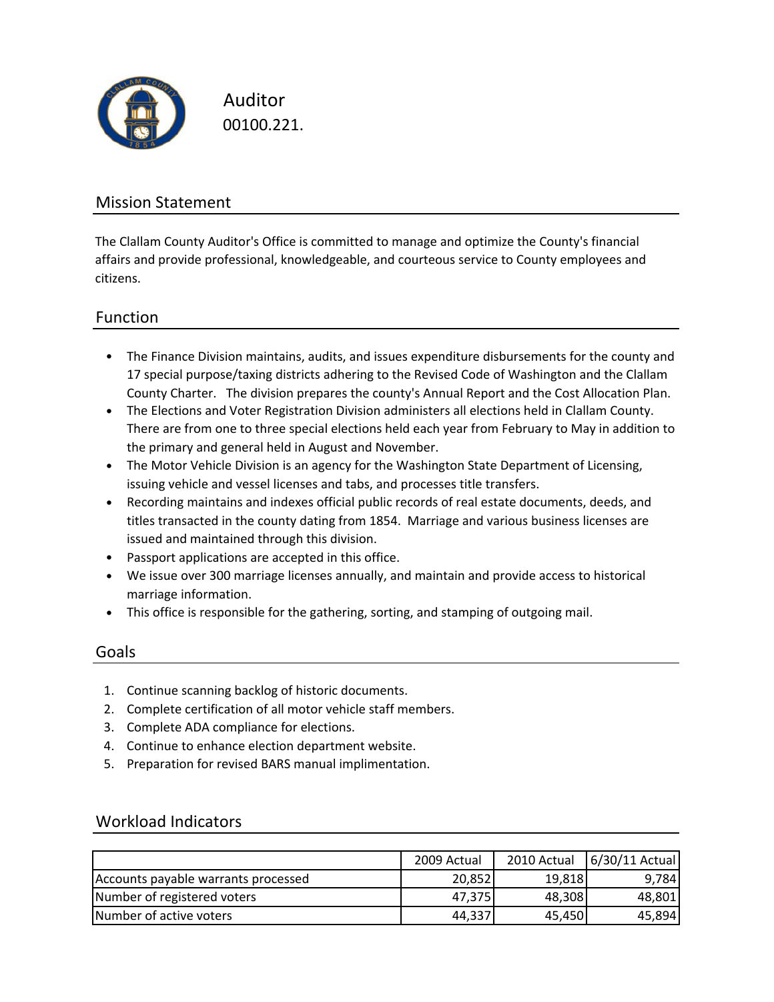

Auditor 00100.221.

### Mission Statement

The Clallam County Auditor's Office is committed to manage and optimize the County's financial affairs and provide professional, knowledgeable, and courteous service to County employees and citizens.

### Function

- The Finance Division maintains, audits, and issues expenditure disbursements for the county and 17 special purpose/taxing districts adhering to the Revised Code of Washington and the Clallam County Charter. The division prepares the county's Annual Report and the Cost Allocation Plan.
- The Elections and Voter Registration Division administers all elections held in Clallam County. There are from one to three special elections held each year from February to May in addition to the primary and general held in August and November.
- The Motor Vehicle Division is an agency for the Washington State Department of Licensing, issuing vehicle and vessel licenses and tabs, and processes title transfers.
- Recording maintains and indexes official public records of real estate documents, deeds, and titles transacted in the county dating from 1854. Marriage and various business licenses are issued and maintained through this division.
- Passport applications are accepted in this office.
- We issue over 300 marriage licenses annually, and maintain and provide access to historical marriage information.
- This office is responsible for the gathering, sorting, and stamping of outgoing mail.

#### Goals

- 1. Continue scanning backlog of historic documents.
- 2. Complete certification of all motor vehicle staff members.
- 3. Complete ADA compliance for elections.
- 4. Continue to enhance election department website.
- 5. Preparation for revised BARS manual implimentation.

#### Workload Indicators

|                                     | 2009 Actual | 2010 Actual | 6/30/11 Actual |
|-------------------------------------|-------------|-------------|----------------|
| Accounts payable warrants processed | 20,852      | 19,818      | 9.784          |
| Number of registered voters         | 47,375      | 48,308      | 48,801         |
| Number of active voters             | 44,337      | 45,450      | 45,894         |